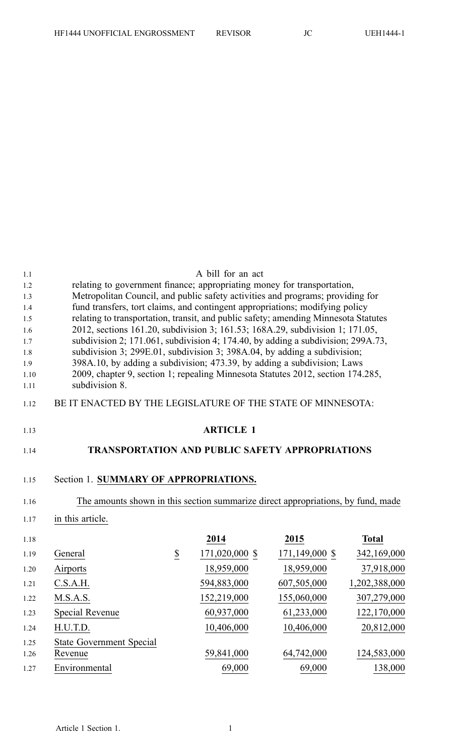| 1.1<br>1.2<br>1.3<br>1.4<br>1.5<br>1.6<br>1.7<br>1.8<br>1.9<br>1.10<br>1.11 | relating to government finance; appropriating money for transportation,<br>Metropolitan Council, and public safety activities and programs; providing for<br>fund transfers, tort claims, and contingent appropriations; modifying policy<br>relating to transportation, transit, and public safety; amending Minnesota Statutes<br>2012, sections 161.20, subdivision 3; 161.53; 168A.29, subdivision 1; 171.05,<br>subdivision 2; 171.061, subdivision 4; 174.40, by adding a subdivision; 299A.73,<br>subdivision 3; 299E.01, subdivision 3; 398A.04, by adding a subdivision;<br>398A.10, by adding a subdivision; 473.39, by adding a subdivision; Laws<br>2009, chapter 9, section 1; repealing Minnesota Statutes 2012, section 174.285,<br>subdivision 8. |                       | A bill for an act |                    |               |
|-----------------------------------------------------------------------------|-------------------------------------------------------------------------------------------------------------------------------------------------------------------------------------------------------------------------------------------------------------------------------------------------------------------------------------------------------------------------------------------------------------------------------------------------------------------------------------------------------------------------------------------------------------------------------------------------------------------------------------------------------------------------------------------------------------------------------------------------------------------|-----------------------|-------------------|--------------------|---------------|
| 1.12                                                                        | BE IT ENACTED BY THE LEGISLATURE OF THE STATE OF MINNESOTA:                                                                                                                                                                                                                                                                                                                                                                                                                                                                                                                                                                                                                                                                                                       |                       |                   |                    |               |
|                                                                             |                                                                                                                                                                                                                                                                                                                                                                                                                                                                                                                                                                                                                                                                                                                                                                   |                       |                   |                    |               |
| 1.13                                                                        |                                                                                                                                                                                                                                                                                                                                                                                                                                                                                                                                                                                                                                                                                                                                                                   |                       | <b>ARTICLE 1</b>  |                    |               |
| 1.14                                                                        | <b>TRANSPORTATION AND PUBLIC SAFETY APPROPRIATIONS</b>                                                                                                                                                                                                                                                                                                                                                                                                                                                                                                                                                                                                                                                                                                            |                       |                   |                    |               |
| 1.15<br>1.16                                                                | Section 1. SUMMARY OF APPROPRIATIONS.<br>The amounts shown in this section summarize direct appropriations, by fund, made                                                                                                                                                                                                                                                                                                                                                                                                                                                                                                                                                                                                                                         |                       |                   |                    |               |
| 1.17                                                                        | in this article.                                                                                                                                                                                                                                                                                                                                                                                                                                                                                                                                                                                                                                                                                                                                                  |                       |                   |                    |               |
| 1.18                                                                        |                                                                                                                                                                                                                                                                                                                                                                                                                                                                                                                                                                                                                                                                                                                                                                   |                       | 2014              | 2015               | <b>Total</b>  |
| 1.19                                                                        | General                                                                                                                                                                                                                                                                                                                                                                                                                                                                                                                                                                                                                                                                                                                                                           | $\overline{\partial}$ | 171,020,000 \$    | $171, 149, 000$ \$ | 342,169,000   |
| 1.20                                                                        | Airports                                                                                                                                                                                                                                                                                                                                                                                                                                                                                                                                                                                                                                                                                                                                                          |                       | 18,959,000        | 18,959,000         | 37,918,000    |
| 1.21                                                                        | C.S.A.H.                                                                                                                                                                                                                                                                                                                                                                                                                                                                                                                                                                                                                                                                                                                                                          |                       | 594,883,000       | 607,505,000        | 1,202,388,000 |
| 1.22                                                                        | M.S.A.S.                                                                                                                                                                                                                                                                                                                                                                                                                                                                                                                                                                                                                                                                                                                                                          |                       | 152,219,000       | 155,060,000        | 307,279,000   |
| 1.23                                                                        | Special Revenue                                                                                                                                                                                                                                                                                                                                                                                                                                                                                                                                                                                                                                                                                                                                                   |                       | 60,937,000        | 61,233,000         | 122,170,000   |
| 1.24                                                                        | H.U.T.D.                                                                                                                                                                                                                                                                                                                                                                                                                                                                                                                                                                                                                                                                                                                                                          |                       | 10,406,000        | 10,406,000         | 20,812,000    |
| 1.25<br>1.26                                                                | <b>State Government Special</b><br>Revenue                                                                                                                                                                                                                                                                                                                                                                                                                                                                                                                                                                                                                                                                                                                        |                       | 59,841,000        | 64,742,000         | 124,583,000   |
| 1.27                                                                        | Environmental                                                                                                                                                                                                                                                                                                                                                                                                                                                                                                                                                                                                                                                                                                                                                     |                       | 69,000            | 69,000             | 138,000       |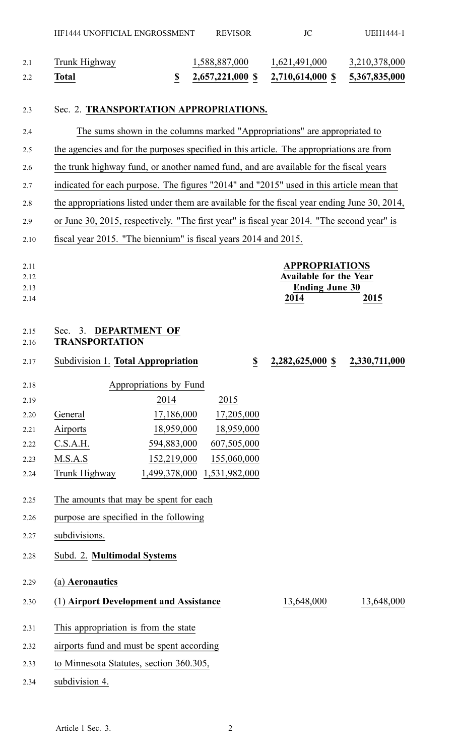| Total         |               | 2,657,221,000 \$ 2,710,614,000 \$ 5,367,835,000 |               |
|---------------|---------------|-------------------------------------------------|---------------|
| Trunk Highway | 1,588,887,000 | 1,621,491,000                                   | 3,210,378,000 |

#### 2.3 Sec. 2. **TRANSPORTATION APPROPRIATIONS.**

| 2.4                  |                                                                                              |                             |                          | The sums shown in the columns marked "Appropriations" are appropriated to |               |
|----------------------|----------------------------------------------------------------------------------------------|-----------------------------|--------------------------|---------------------------------------------------------------------------|---------------|
| 2.5                  | the agencies and for the purposes specified in this article. The appropriations are from     |                             |                          |                                                                           |               |
| 2.6                  | the trunk highway fund, or another named fund, and are available for the fiscal years        |                             |                          |                                                                           |               |
| 2.7                  | indicated for each purpose. The figures "2014" and "2015" used in this article mean that     |                             |                          |                                                                           |               |
| 2.8                  | the appropriations listed under them are available for the fiscal year ending June 30, 2014, |                             |                          |                                                                           |               |
| 2.9                  | or June 30, 2015, respectively. "The first year" is fiscal year 2014. "The second year" is   |                             |                          |                                                                           |               |
| 2.10                 | fiscal year 2015. "The biennium" is fiscal years 2014 and 2015.                              |                             |                          |                                                                           |               |
|                      |                                                                                              |                             |                          |                                                                           |               |
| 2.11                 |                                                                                              |                             |                          | <b>APPROPRIATIONS</b>                                                     |               |
| 2.12                 |                                                                                              |                             |                          | Available for the Year                                                    |               |
| 2.13                 |                                                                                              |                             |                          | <b>Ending June 30</b>                                                     |               |
| 2.14                 |                                                                                              |                             |                          | 2014                                                                      | 2015          |
| 2.15<br>2.16<br>2.17 | 3.<br>Sec.<br><b>TRANSPORTATION</b><br>Subdivision 1. Total Appropriation                    | <b>DEPARTMENT OF</b>        | $\underline{\mathbb{S}}$ | 2,282,625,000 \$                                                          | 2,330,711,000 |
|                      |                                                                                              |                             |                          |                                                                           |               |
| 2.18                 |                                                                                              | Appropriations by Fund      |                          |                                                                           |               |
| 2.19                 |                                                                                              | 2014                        | 2015                     |                                                                           |               |
| 2.20                 | General                                                                                      | 17,186,000                  | 17,205,000               |                                                                           |               |
| 2.21                 | Airports                                                                                     | 18,959,000                  | 18,959,000               |                                                                           |               |
| 2.22                 | C.S.A.H.                                                                                     | 594,883,000                 | 607,505,000              |                                                                           |               |
| 2.23                 | M.S.A.S                                                                                      | 152,219,000                 | 155,060,000              |                                                                           |               |
| 2.24                 | Trunk Highway                                                                                | 1,499,378,000 1,531,982,000 |                          |                                                                           |               |
| 2.25                 | The amounts that may be spent for each                                                       |                             |                          |                                                                           |               |
| 2.26                 | purpose are specified in the following                                                       |                             |                          |                                                                           |               |

- 2.27 subdivisions.
- 2.28 Subd. 2. **Multimodal Systems**
- 2.29 (a) **Aeronautics**
- 2.30 (1) **Airport Development and Assistance** 13,648,000 13,648,000
- 2.31 This appropriation is from the state
- 2.32 airports fund and must be spen<sup>t</sup> according
- 2.33 to Minnesota Statutes, section 360.305,
- 2.34 subdivision 4.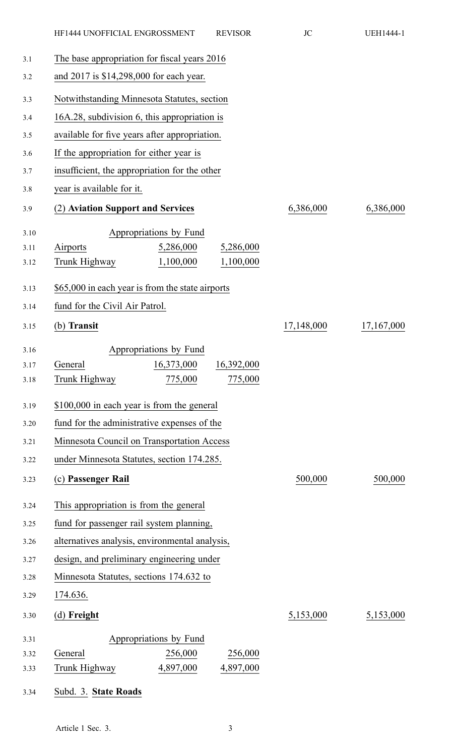|      | HF1444 UNOFFICIAL ENGROSSMENT                    | <b>REVISOR</b> | JC         | <b>UEH1444-1</b> |
|------|--------------------------------------------------|----------------|------------|------------------|
| 3.1  | The base appropriation for fiscal years 2016     |                |            |                  |
| 3.2  | and 2017 is \$14,298,000 for each year.          |                |            |                  |
| 3.3  | Notwithstanding Minnesota Statutes, section      |                |            |                  |
| 3.4  | 16A.28, subdivision 6, this appropriation is     |                |            |                  |
| 3.5  | available for five years after appropriation.    |                |            |                  |
| 3.6  | If the appropriation for either year is          |                |            |                  |
| 3.7  | insufficient, the appropriation for the other    |                |            |                  |
| 3.8  | year is available for it.                        |                |            |                  |
| 3.9  | (2) Aviation Support and Services                |                | 6,386,000  | 6,386,000        |
| 3.10 | Appropriations by Fund                           |                |            |                  |
| 3.11 | Airports<br>5,286,000                            | 5,286,000      |            |                  |
| 3.12 | Trunk Highway<br>1,100,000                       | 1,100,000      |            |                  |
| 3.13 | \$65,000 in each year is from the state airports |                |            |                  |
| 3.14 | fund for the Civil Air Patrol.                   |                |            |                  |
| 3.15 | (b) Transit                                      |                | 17,148,000 | 17,167,000       |
| 3.16 | Appropriations by Fund                           |                |            |                  |
| 3.17 | General<br>16,373,000                            | 16,392,000     |            |                  |
| 3.18 | Trunk Highway<br>775,000                         | 775,000        |            |                  |
| 3.19 | \$100,000 in each year is from the general       |                |            |                  |
| 3.20 | fund for the administrative expenses of the      |                |            |                  |
| 3.21 | Minnesota Council on Transportation Access       |                |            |                  |
| 3.22 | under Minnesota Statutes, section 174.285.       |                |            |                  |
| 3.23 | (c) Passenger Rail                               |                | 500,000    | 500,000          |
| 3.24 | This appropriation is from the general           |                |            |                  |
| 3.25 | fund for passenger rail system planning,         |                |            |                  |
| 3.26 | alternatives analysis, environmental analysis,   |                |            |                  |
| 3.27 | design, and preliminary engineering under        |                |            |                  |
| 3.28 | Minnesota Statutes, sections 174.632 to          |                |            |                  |
| 3.29 | 174.636.                                         |                |            |                  |
| 3.30 | (d) Freight                                      |                | 5,153,000  | 5,153,000        |
| 3.31 | Appropriations by Fund                           |                |            |                  |
| 3.32 | 256,000<br>General                               | 256,000        |            |                  |
| 3.33 | Trunk Highway<br>4,897,000                       | 4,897,000      |            |                  |
| 3.34 | Subd. 3. State Roads                             |                |            |                  |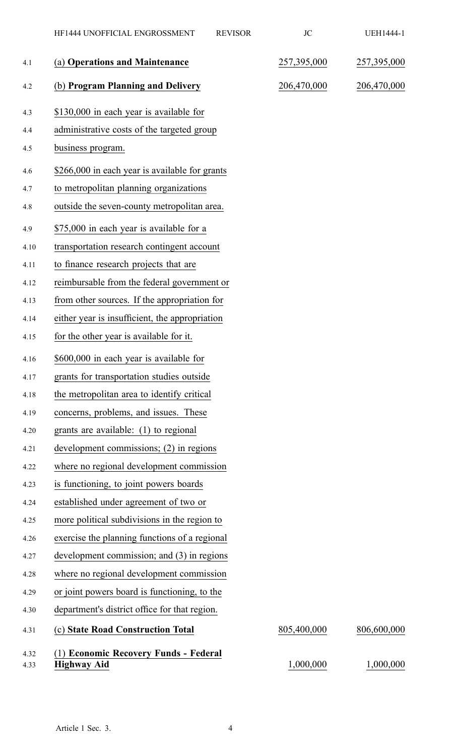|              | HF1444 UNOFFICIAL ENGROSSMENT                               | <b>REVISOR</b> | JC          | UEH1444-1   |
|--------------|-------------------------------------------------------------|----------------|-------------|-------------|
| 4.1          | (a) Operations and Maintenance                              |                | 257,395,000 | 257,395,000 |
| 4.2          | (b) Program Planning and Delivery                           |                | 206,470,000 | 206,470,000 |
| 4.3          | \$130,000 in each year is available for                     |                |             |             |
| 4.4          | administrative costs of the targeted group                  |                |             |             |
| 4.5          | business program.                                           |                |             |             |
| 4.6          | \$266,000 in each year is available for grants              |                |             |             |
| 4.7          | to metropolitan planning organizations                      |                |             |             |
| 4.8          | outside the seven-county metropolitan area.                 |                |             |             |
| 4.9          | \$75,000 in each year is available for a                    |                |             |             |
| 4.10         | transportation research contingent account                  |                |             |             |
| 4.11         | to finance research projects that are                       |                |             |             |
| 4.12         | reimbursable from the federal government or                 |                |             |             |
| 4.13         | from other sources. If the appropriation for                |                |             |             |
| 4.14         | either year is insufficient, the appropriation              |                |             |             |
| 4.15         | for the other year is available for it.                     |                |             |             |
| 4.16         | \$600,000 in each year is available for                     |                |             |             |
| 4.17         | grants for transportation studies outside                   |                |             |             |
| 4.18         | the metropolitan area to identify critical                  |                |             |             |
| 4.19         | concerns, problems, and issues. These                       |                |             |             |
| 4.20         | grants are available: (1) to regional                       |                |             |             |
| 4.21         | development commissions; (2) in regions                     |                |             |             |
| 4.22         | where no regional development commission                    |                |             |             |
| 4.23         | is functioning, to joint powers boards                      |                |             |             |
| 4.24         | established under agreement of two or                       |                |             |             |
| 4.25         | more political subdivisions in the region to                |                |             |             |
| 4.26         | exercise the planning functions of a regional               |                |             |             |
| 4.27         | development commission; and (3) in regions                  |                |             |             |
| 4.28         | where no regional development commission                    |                |             |             |
| 4.29         | or joint powers board is functioning, to the                |                |             |             |
| 4.30         | department's district office for that region.               |                |             |             |
| 4.31         | (c) State Road Construction Total                           |                | 805,400,000 | 806,600,000 |
| 4.32<br>4.33 | (1) Economic Recovery Funds - Federal<br><b>Highway Aid</b> |                | 1,000,000   | 1,000,000   |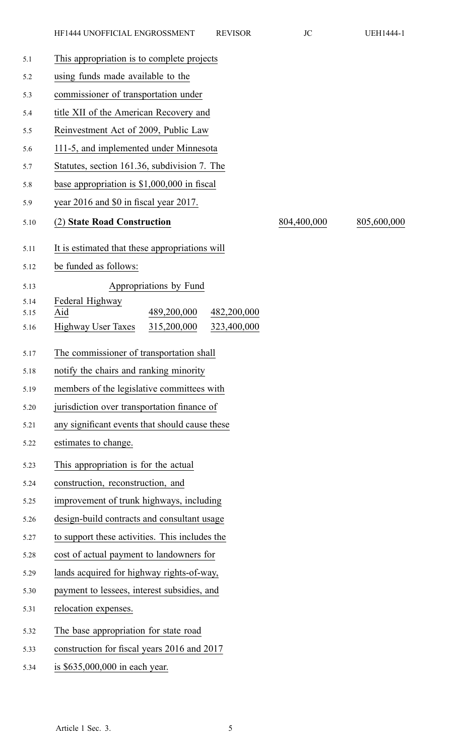| 5.1          | This appropriation is to complete projects              |             |             |
|--------------|---------------------------------------------------------|-------------|-------------|
| 5.2          | using funds made available to the                       |             |             |
| 5.3          | commissioner of transportation under                    |             |             |
| 5.4          | title XII of the American Recovery and                  |             |             |
| 5.5          | Reinvestment Act of 2009, Public Law                    |             |             |
| 5.6          | 111-5, and implemented under Minnesota                  |             |             |
| 5.7          | Statutes, section 161.36, subdivision 7. The            |             |             |
| 5.8          | base appropriation is $$1,000,000$ in fiscal            |             |             |
| 5.9          | year 2016 and \$0 in fiscal year 2017.                  |             |             |
| 5.10         | (2) State Road Construction                             | 804,400,000 | 805,600,000 |
| 5.11         | It is estimated that these appropriations will          |             |             |
| 5.12         | be funded as follows:                                   |             |             |
| 5.13         | Appropriations by Fund                                  |             |             |
| 5.14<br>5.15 | Federal Highway<br>Aid<br>489,200,000<br>482,200,000    |             |             |
| 5.16         | <b>Highway User Taxes</b><br>315,200,000<br>323,400,000 |             |             |
| 5.17         | The commissioner of transportation shall                |             |             |
| 5.18         | notify the chairs and ranking minority                  |             |             |
| 5.19         | members of the legislative committees with              |             |             |
| 5.20         | jurisdiction over transportation finance of             |             |             |
| 5.21         | any significant events that should cause these          |             |             |
| 5.22         | estimates to change.                                    |             |             |
| 5.23         | This appropriation is for the actual                    |             |             |
| 5.24         | construction, reconstruction, and                       |             |             |
| 5.25         | improvement of trunk highways, including                |             |             |
| 5.26         | design-build contracts and consultant usage             |             |             |
| 5.27         | to support these activities. This includes the          |             |             |
| 5.28         | cost of actual payment to landowners for                |             |             |
| 5.29         | lands acquired for highway rights-of-way,               |             |             |
| 5.30         | payment to lessees, interest subsidies, and             |             |             |
| 5.31         | relocation expenses.                                    |             |             |
| 5.32         | The base appropriation for state road                   |             |             |
| 5.33         | construction for fiscal years 2016 and 2017             |             |             |
| 5.34         | is \$635,000,000 in each year.                          |             |             |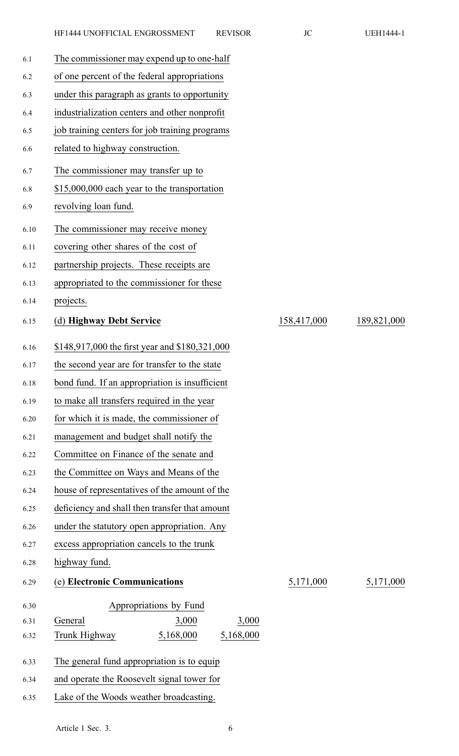| 6.1  | The commissioner may expend up to one-half     |             |             |
|------|------------------------------------------------|-------------|-------------|
| 6.2  | of one percent of the federal appropriations   |             |             |
| 6.3  | under this paragraph as grants to opportunity  |             |             |
| 6.4  | industrialization centers and other nonprofit  |             |             |
| 6.5  | job training centers for job training programs |             |             |
| 6.6  | related to highway construction.               |             |             |
| 6.7  | The commissioner may transfer up to            |             |             |
| 6.8  | \$15,000,000 each year to the transportation   |             |             |
| 6.9  | revolving loan fund.                           |             |             |
| 6.10 | The commissioner may receive money             |             |             |
| 6.11 | covering other shares of the cost of           |             |             |
| 6.12 | partnership projects. These receipts are       |             |             |
| 6.13 | appropriated to the commissioner for these     |             |             |
| 6.14 | projects.                                      |             |             |
| 6.15 | (d) Highway Debt Service                       | 158,417,000 | 189,821,000 |
| 6.16 | \$148,917,000 the first year and \$180,321,000 |             |             |
| 6.17 | the second year are for transfer to the state  |             |             |
| 6.18 | bond fund. If an appropriation is insufficient |             |             |
| 6.19 | to make all transfers required in the year     |             |             |
| 6.20 | for which it is made, the commissioner of      |             |             |
| 6.21 | management and budget shall notify the         |             |             |
| 6.22 | Committee on Finance of the senate and         |             |             |
| 6.23 | the Committee on Ways and Means of the         |             |             |
| 6.24 | house of representatives of the amount of the  |             |             |
| 6.25 | deficiency and shall then transfer that amount |             |             |
| 6.26 | under the statutory open appropriation. Any    |             |             |
| 6.27 | excess appropriation cancels to the trunk      |             |             |
| 6.28 | highway fund.                                  |             |             |
| 6.29 | (e) Electronic Communications                  | 5,171,000   | 5,171,000   |
| 6.30 | Appropriations by Fund                         |             |             |
| 6.31 | 3,000<br>3,000<br>General                      |             |             |
| 6.32 | 5,168,000<br>5,168,000<br>Trunk Highway        |             |             |
| 6.33 | The general fund appropriation is to equip     |             |             |
| 6.34 | and operate the Roosevelt signal tower for     |             |             |
| 6.35 | Lake of the Woods weather broadcasting.        |             |             |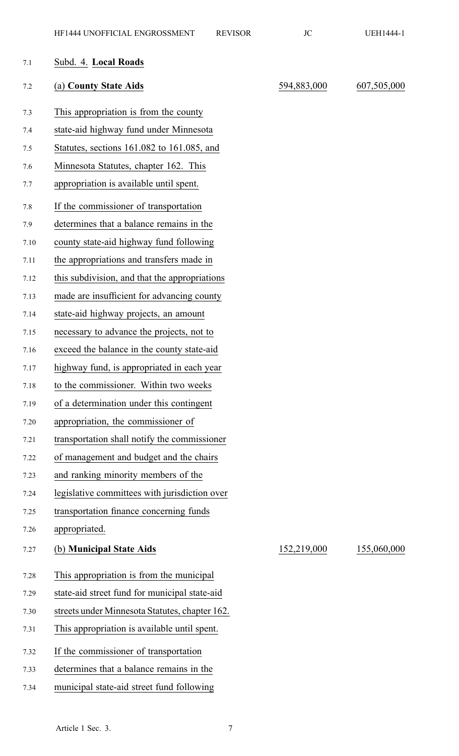| 7.1     | Subd. 4. Local Roads                           |             |             |
|---------|------------------------------------------------|-------------|-------------|
| $7.2\,$ | (a) County State Aids                          | 594,883,000 | 607,505,000 |
| 7.3     | This appropriation is from the county          |             |             |
| 7.4     | state-aid highway fund under Minnesota         |             |             |
| 7.5     | Statutes, sections 161.082 to 161.085, and     |             |             |
| 7.6     | Minnesota Statutes, chapter 162. This          |             |             |
| 7.7     | appropriation is available until spent.        |             |             |
| 7.8     | If the commissioner of transportation          |             |             |
| 7.9     | determines that a balance remains in the       |             |             |
| 7.10    | county state-aid highway fund following        |             |             |
| 7.11    | the appropriations and transfers made in       |             |             |
| 7.12    | this subdivision, and that the appropriations  |             |             |
| 7.13    | made are insufficient for advancing county     |             |             |
| 7.14    | state-aid highway projects, an amount          |             |             |
| 7.15    | necessary to advance the projects, not to      |             |             |
| 7.16    | exceed the balance in the county state-aid     |             |             |
| 7.17    | highway fund, is appropriated in each year     |             |             |
| 7.18    | to the commissioner. Within two weeks          |             |             |
| 7.19    | of a determination under this contingent       |             |             |
| 7.20    | appropriation, the commissioner of             |             |             |
| 7.21    | transportation shall notify the commissioner   |             |             |
| 7.22    | of management and budget and the chairs        |             |             |
| 7.23    | and ranking minority members of the            |             |             |
| 7.24    | legislative committees with jurisdiction over  |             |             |
| 7.25    | transportation finance concerning funds        |             |             |
| 7.26    | appropriated.                                  |             |             |
| 7.27    | (b) Municipal State Aids                       | 152,219,000 | 155,060,000 |
| 7.28    | This appropriation is from the municipal       |             |             |
| 7.29    | state-aid street fund for municipal state-aid  |             |             |
| 7.30    | streets under Minnesota Statutes, chapter 162. |             |             |
| 7.31    | This appropriation is available until spent.   |             |             |
| 7.32    | If the commissioner of transportation          |             |             |
| 7.33    | determines that a balance remains in the       |             |             |
| 7.34    | municipal state-aid street fund following      |             |             |
|         |                                                |             |             |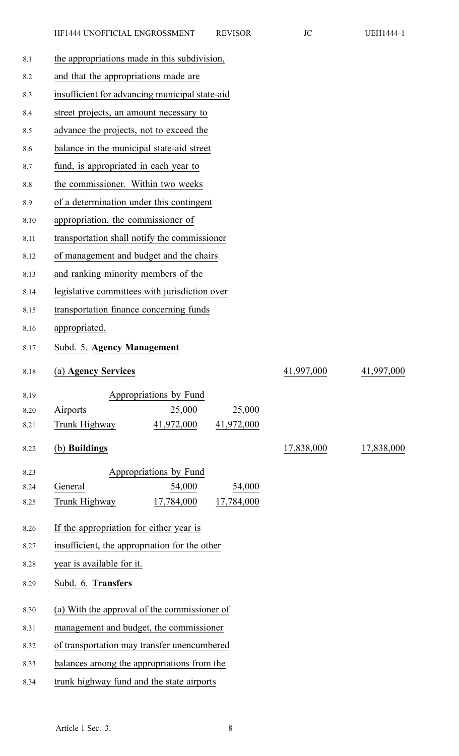| 8.1 |  |  |  |  | the appropriations made in this subdivision, |
|-----|--|--|--|--|----------------------------------------------|
|-----|--|--|--|--|----------------------------------------------|

- 8.2 and that the appropriations made are
- 8.3 insufficient for advancing municipal state-aid
- 8.4 street projects, an amount necessary to
- 8.5 advance the projects, not to exceed the
- 8.6 balance in the municipal state-aid street
- 8.7 fund, is appropriated in each year to
- 8.8 the commissioner. Within two weeks
- 8.9 of <sup>a</sup> determination under this contingent
- 8.10 appropriation, the commissioner of
- 8.11 transportation shall notify the commissioner
- 8.12 of managemen<sup>t</sup> and budget and the chairs
- 8.13 and ranking minority members of the
- 8.14 legislative committees with jurisdiction over
- 8.15 transportation finance concerning funds
- 8.16 appropriated.
- 8.17 Subd. 5. **Agency Management**
- 

8.18 (a) **Agency Services** 41,997,000 41,997,000

- 8.19 Appropriations by Fund 8.20 Airports 25,000 25,000 8.21 Trunk Highway 41,972,000 41,972,000
- 8.22 (b) **Buildings** 17,838,000 17,838,000

8.23 Appropriations by Fund 8.24 General 54,000 54,000

- 8.25 Trunk Highway 17,784,000 17,784,000
- 8.26 If the appropriation for either year is
- 8.27 insufficient, the appropriation for the other
- 8.28 year is available for it.
- 8.29 Subd. 6. **Transfers**
- 8.30 (a) With the approval of the commissioner of
- 8.31 managemen<sup>t</sup> and budget, the commissioner
- 8.32 of transportation may transfer unencumbered
- 8.33 balances among the appropriations from the
- 8.34 trunk highway fund and the state airports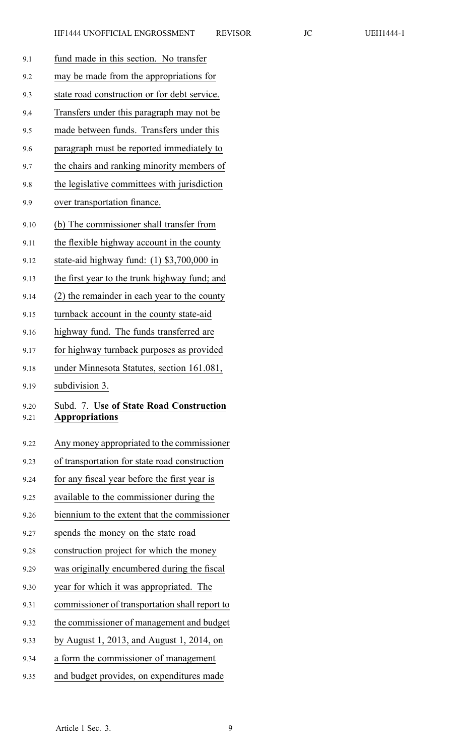| 9.1          | fund made in this section. No transfer                           |
|--------------|------------------------------------------------------------------|
| 9.2          | may be made from the appropriations for                          |
| 9.3          | state road construction or for debt service.                     |
| 9.4          | Transfers under this paragraph may not be                        |
| 9.5          | made between funds. Transfers under this                         |
| 9.6          | paragraph must be reported immediately to                        |
| 9.7          | the chairs and ranking minority members of                       |
| 9.8          | the legislative committees with jurisdiction                     |
| 9.9          | over transportation finance.                                     |
| 9.10         | (b) The commissioner shall transfer from                         |
| 9.11         | the flexible highway account in the county                       |
| 9.12         | state-aid highway fund: $(1)$ \$3,700,000 in                     |
| 9.13         | the first year to the trunk highway fund; and                    |
| 9.14         | (2) the remainder in each year to the county                     |
| 9.15         | turnback account in the county state-aid                         |
| 9.16         | highway fund. The funds transferred are                          |
| 9.17         | for highway turnback purposes as provided                        |
|              |                                                                  |
| 9.18         | under Minnesota Statutes, section 161.081,                       |
| 9.19         | subdivision 3.                                                   |
| 9.20<br>9.21 | Subd. 7. Use of State Road Construction<br><b>Appropriations</b> |
| 9.22         | Any money appropriated to the commissioner                       |
| 9.23         | of transportation for state road construction                    |
| 9.24         | for any fiscal year before the first year is                     |
| 9.25         | available to the commissioner during the                         |
| 9.26         | biennium to the extent that the commissioner                     |
| 9.27         | spends the money on the state road                               |
| 9.28         | construction project for which the money                         |
| 9.29         | was originally encumbered during the fiscal                      |
| 9.30         | year for which it was appropriated. The                          |
| 9.31         | commissioner of transportation shall report to                   |
| 9.32         | the commissioner of management and budget                        |
| 9.33         | by August 1, 2013, and August 1, 2014, on                        |
| 9.34         | a form the commissioner of management                            |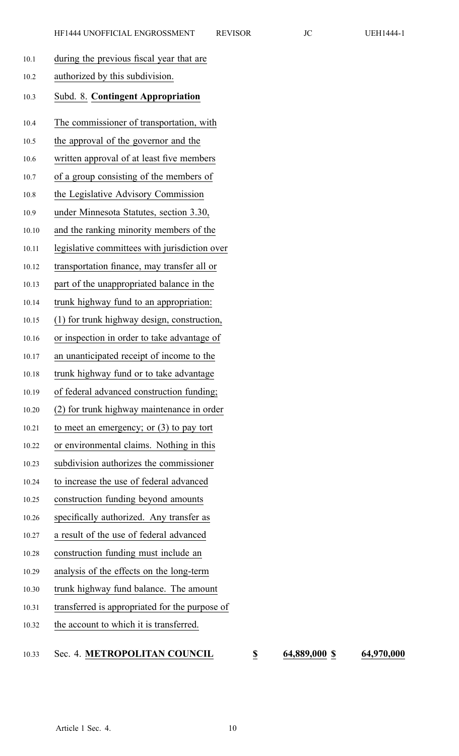| 10.1  | during the previous fiscal year that are       |
|-------|------------------------------------------------|
| 10.2  | authorized by this subdivision.                |
| 10.3  | Subd. 8. Contingent Appropriation              |
| 10.4  | The commissioner of transportation, with       |
| 10.5  | the approval of the governor and the           |
| 10.6  | written approval of at least five members      |
| 10.7  | of a group consisting of the members of        |
| 10.8  | the Legislative Advisory Commission            |
| 10.9  | under Minnesota Statutes, section 3.30,        |
| 10.10 | and the ranking minority members of the        |
| 10.11 | legislative committees with jurisdiction over  |
| 10.12 | transportation finance, may transfer all or    |
| 10.13 | part of the unappropriated balance in the      |
| 10.14 | trunk highway fund to an appropriation:        |
| 10.15 | (1) for trunk highway design, construction,    |
| 10.16 | or inspection in order to take advantage of    |
| 10.17 | an unanticipated receipt of income to the      |
| 10.18 | trunk highway fund or to take advantage        |
| 10.19 | of federal advanced construction funding;      |
| 10.20 | (2) for trunk highway maintenance in order     |
| 10.21 | to meet an emergency; or $(3)$ to pay tort     |
| 10.22 | or environmental claims. Nothing in this       |
| 10.23 | subdivision authorizes the commissioner        |
| 10.24 | to increase the use of federal advanced        |
| 10.25 | construction funding beyond amounts            |
| 10.26 | specifically authorized. Any transfer as       |
| 10.27 | a result of the use of federal advanced        |
| 10.28 | construction funding must include an           |
| 10.29 | analysis of the effects on the long-term       |
| 10.30 | trunk highway fund balance. The amount         |
| 10.31 | transferred is appropriated for the purpose of |
| 10.32 | the account to which it is transferred.        |

10.33 Sec. 4. **METROPOLITAN COUNCIL \$ 64,889,000 \$ 64,970,000**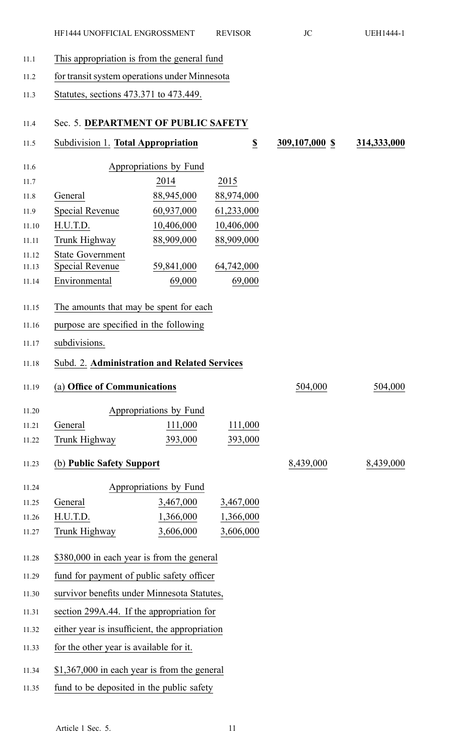- 11.1 This appropriation is from the general fund
- 11.2 for transit system operations under Minnesota
- 11.3 Statutes, sections 473.371 to 473.449.

#### 11.4 Sec. 5. **DEPARTMENT OF PUBLIC SAFETY**

11.5 Subdivision 1. **Total Appropriation \$ 309,107,000 \$ 314,333,000** 11.6 Appropriations by Fund 11.7 2014 2015 11.8 General 88,945,000 88,974,000 11.9 Special Revenue 60,937,000 61,233,000 11.10 H.U.T.D. 10,406,000 10,406,000 11.11 Trunk Highway 88,909,000 88,909,000 11.12 State Government 11.13 Special Revenue 59,841,000 64,742,000 11.14 Environmental 69,000 69,000 11.15 The amounts that may be spen<sup>t</sup> for each 11.16 purpose are specified in the following 11.17 subdivisions. 11.18 Subd. 2. **Administration and Related Services** 11.19 (a) **Office of Communications** 504,000 504,000 11.20 Appropriations by Fund 11.21 General 111,000 111,000 11.22 Trunk Highway 393,000 393,000 11.23 (b) **Public Safety Support** 8,439,000 8,439,000 11.24 Appropriations by Fund 11.25 General 3,467,000 3,467,000 11.26 H.U.T.D. 1,366,000 1,366,000 11.27 Trunk Highway 3,606,000 3,606,000 11.28 \$380,000 in each year is from the general 11.29 fund for paymen<sup>t</sup> of public safety officer 11.30 survivor benefits under Minnesota Statutes, 11.31 section 299A.44. If the appropriation for 11.32 either year is insufficient, the appropriation 11.33 for the other year is available for it. 11.34 \$1,367,000 in each year is from the general 11.35 fund to be deposited in the public safety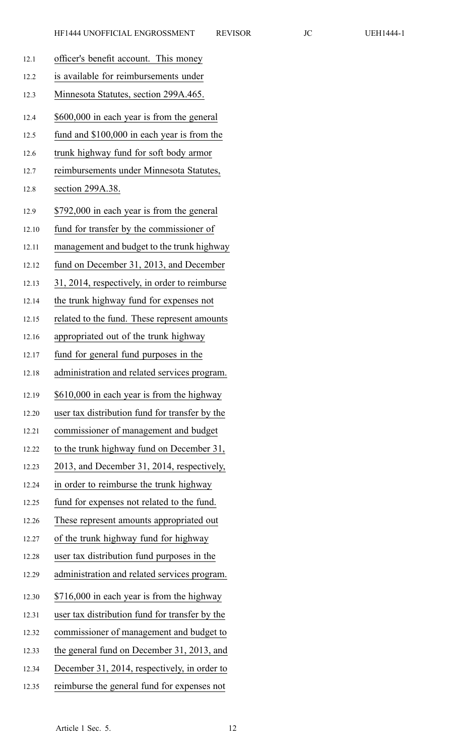| 12.1  | officer's benefit account. This money          |
|-------|------------------------------------------------|
| 12.2  | is available for reimbursements under          |
| 12.3  | Minnesota Statutes, section 299A.465.          |
| 12.4  | \$600,000 in each year is from the general     |
| 12.5  | fund and \$100,000 in each year is from the    |
| 12.6  | trunk highway fund for soft body armor         |
| 12.7  | reimbursements under Minnesota Statutes,       |
| 12.8  | section 299A.38.                               |
| 12.9  | \$792,000 in each year is from the general     |
| 12.10 | fund for transfer by the commissioner of       |
| 12.11 | management and budget to the trunk highway     |
| 12.12 | fund on December 31, 2013, and December        |
| 12.13 | 31, 2014, respectively, in order to reimburse  |
| 12.14 | the trunk highway fund for expenses not        |
| 12.15 | related to the fund. These represent amounts   |
| 12.16 | appropriated out of the trunk highway          |
| 12.17 | fund for general fund purposes in the          |
| 12.18 | administration and related services program.   |
| 12.19 | \$610,000 in each year is from the highway     |
| 12.20 | user tax distribution fund for transfer by the |
| 12.21 | commissioner of management and budget          |
| 12.22 | to the trunk highway fund on December 31,      |
| 12.23 | 2013, and December 31, 2014, respectively,     |
| 12.24 | in order to reimburse the trunk highway        |
| 12.25 | fund for expenses not related to the fund.     |
| 12.26 | These represent amounts appropriated out       |
| 12.27 | of the trunk highway fund for highway          |
| 12.28 | user tax distribution fund purposes in the     |
| 12.29 | administration and related services program.   |
| 12.30 | \$716,000 in each year is from the highway     |
| 12.31 | user tax distribution fund for transfer by the |
| 12.32 | commissioner of management and budget to       |
| 12.33 | the general fund on December 31, 2013, and     |
| 12.34 | December 31, 2014, respectively, in order to   |
| 12.35 | reimburse the general fund for expenses not    |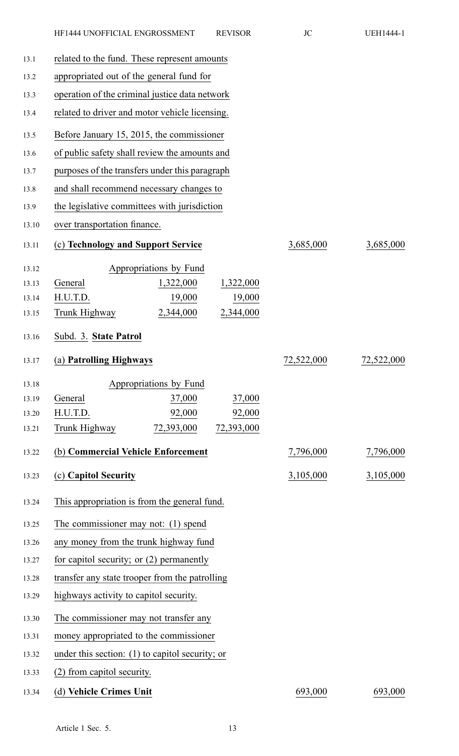| 13.1  | related to the fund. These represent amounts      |                        |            |            |            |
|-------|---------------------------------------------------|------------------------|------------|------------|------------|
| 13.2  | appropriated out of the general fund for          |                        |            |            |            |
| 13.3  | operation of the criminal justice data network    |                        |            |            |            |
| 13.4  | related to driver and motor vehicle licensing.    |                        |            |            |            |
| 13.5  | Before January 15, 2015, the commissioner         |                        |            |            |            |
| 13.6  | of public safety shall review the amounts and     |                        |            |            |            |
| 13.7  | purposes of the transfers under this paragraph    |                        |            |            |            |
| 13.8  | and shall recommend necessary changes to          |                        |            |            |            |
| 13.9  | the legislative committees with jurisdiction      |                        |            |            |            |
| 13.10 | over transportation finance.                      |                        |            |            |            |
| 13.11 | (c) Technology and Support Service                |                        |            | 3,685,000  | 3,685,000  |
| 13.12 |                                                   | Appropriations by Fund |            |            |            |
| 13.13 | General                                           | 1,322,000              | 1,322,000  |            |            |
| 13.14 | H.U.T.D.                                          | 19,000                 | 19,000     |            |            |
| 13.15 | Trunk Highway                                     | 2,344,000              | 2,344,000  |            |            |
| 13.16 | Subd. 3. State Patrol                             |                        |            |            |            |
| 13.17 | (a) Patrolling Highways                           |                        |            | 72,522,000 | 72,522,000 |
| 13.18 |                                                   | Appropriations by Fund |            |            |            |
| 13.19 | General                                           | 37,000                 | 37,000     |            |            |
| 13.20 | H.U.T.D.                                          | 92,000                 | 92,000     |            |            |
| 13.21 | Trunk Highway                                     | 72,393,000             | 72,393,000 |            |            |
| 13.22 | (b) Commercial Vehicle Enforcement                |                        |            | 7,796,000  | 7,796,000  |
| 13.23 | (c) Capitol Security                              |                        |            | 3,105,000  | 3,105,000  |
| 13.24 | This appropriation is from the general fund.      |                        |            |            |            |
| 13.25 | The commissioner may not: (1) spend               |                        |            |            |            |
| 13.26 | any money from the trunk highway fund             |                        |            |            |            |
| 13.27 | for capitol security; or $(2)$ permanently        |                        |            |            |            |
| 13.28 | transfer any state trooper from the patrolling    |                        |            |            |            |
| 13.29 | highways activity to capitol security.            |                        |            |            |            |
| 13.30 | The commissioner may not transfer any             |                        |            |            |            |
| 13.31 | money appropriated to the commissioner            |                        |            |            |            |
| 13.32 | under this section: $(1)$ to capitol security; or |                        |            |            |            |
| 13.33 | (2) from capitol security.                        |                        |            |            |            |
|       |                                                   |                        |            |            |            |

## 13.34 (d) **Vehicle Crimes Unit** 693,000 693,000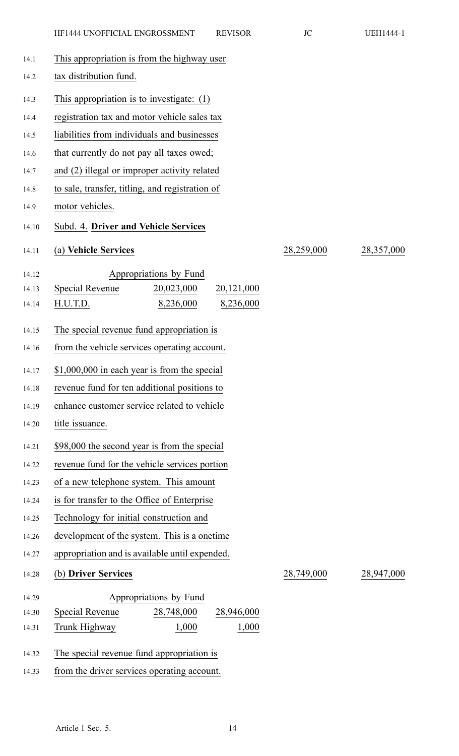| 14.1  | This appropriation is from the highway user        |            |            |
|-------|----------------------------------------------------|------------|------------|
| 14.2  | tax distribution fund.                             |            |            |
| 14.3  | This appropriation is to investigate: $(1)$        |            |            |
| 14.4  | registration tax and motor vehicle sales tax       |            |            |
| 14.5  | liabilities from individuals and businesses        |            |            |
| 14.6  | that currently do not pay all taxes owed;          |            |            |
| 14.7  | and (2) illegal or improper activity related       |            |            |
| 14.8  | to sale, transfer, titling, and registration of    |            |            |
| 14.9  | motor vehicles.                                    |            |            |
| 14.10 | Subd. 4. Driver and Vehicle Services               |            |            |
| 14.11 | (a) Vehicle Services                               | 28,259,000 | 28,357,000 |
| 14.12 | Appropriations by Fund                             |            |            |
| 14.13 | Special Revenue<br>20,023,000<br>20,121,000        |            |            |
| 14.14 | H.U.T.D.<br>8,236,000<br>8,236,000                 |            |            |
| 14.15 | The special revenue fund appropriation is          |            |            |
| 14.16 | from the vehicle services operating account.       |            |            |
|       |                                                    |            |            |
| 14.17 | \$1,000,000 in each year is from the special       |            |            |
| 14.18 | revenue fund for ten additional positions to       |            |            |
| 14.19 | enhance customer service related to vehicle        |            |            |
| 14.20 | title issuance.                                    |            |            |
| 14.21 | \$98,000 the second year is from the special       |            |            |
| 14.22 | revenue fund for the vehicle services portion      |            |            |
| 14.23 | of a new telephone system. This amount             |            |            |
| 14.24 | is for transfer to the Office of Enterprise        |            |            |
| 14.25 | Technology for initial construction and            |            |            |
| 14.26 | development of the system. This is a onetime       |            |            |
| 14.27 | appropriation and is available until expended.     |            |            |
| 14.28 | (b) Driver Services                                | 28,749,000 | 28,947,000 |
| 14.29 | Appropriations by Fund                             |            |            |
| 14.30 | <b>Special Revenue</b><br>28,748,000<br>28,946,000 |            |            |
| 14.31 | 1,000<br>1,000<br>Trunk Highway                    |            |            |
| 14.32 | The special revenue fund appropriation is          |            |            |
| 14.33 | from the driver services operating account.        |            |            |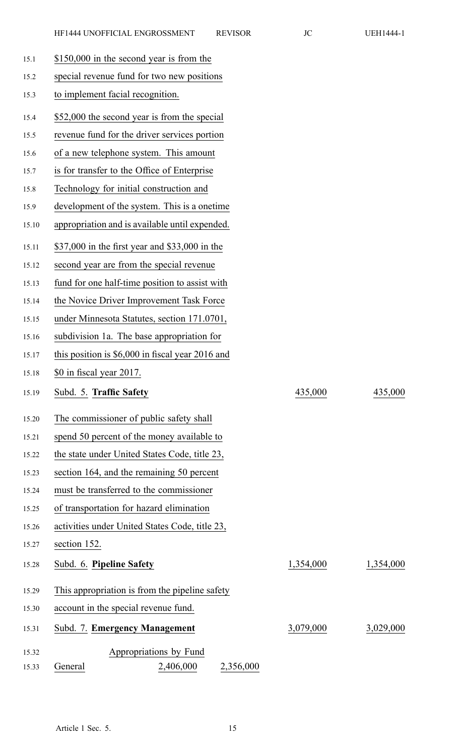| 15.1  | \$150,000 in the second year is from the          |           |           |
|-------|---------------------------------------------------|-----------|-----------|
| 15.2  | special revenue fund for two new positions        |           |           |
| 15.3  | to implement facial recognition.                  |           |           |
| 15.4  | \$52,000 the second year is from the special      |           |           |
| 15.5  | revenue fund for the driver services portion      |           |           |
| 15.6  | of a new telephone system. This amount            |           |           |
| 15.7  | is for transfer to the Office of Enterprise       |           |           |
| 15.8  | Technology for initial construction and           |           |           |
| 15.9  | development of the system. This is a onetime      |           |           |
| 15.10 | appropriation and is available until expended.    |           |           |
| 15.11 | \$37,000 in the first year and \$33,000 in the    |           |           |
| 15.12 | second year are from the special revenue          |           |           |
| 15.13 | fund for one half-time position to assist with    |           |           |
| 15.14 | the Novice Driver Improvement Task Force          |           |           |
| 15.15 | under Minnesota Statutes, section 171.0701,       |           |           |
| 15.16 | subdivision 1a. The base appropriation for        |           |           |
| 15.17 | this position is $$6,000$ in fiscal year 2016 and |           |           |
| 15.18 | \$0 in fiscal year 2017.                          |           |           |
| 15.19 | Subd. 5. Traffic Safety                           | 435,000   | 435,000   |
| 15.20 | The commissioner of public safety shall           |           |           |
| 15.21 | spend 50 percent of the money available to        |           |           |
| 15.22 | the state under United States Code, title 23,     |           |           |
| 15.23 | section 164, and the remaining 50 percent         |           |           |
| 15.24 | must be transferred to the commissioner           |           |           |
| 15.25 | of transportation for hazard elimination          |           |           |
| 15.26 | activities under United States Code, title 23,    |           |           |
| 15.27 | section 152.                                      |           |           |
| 15.28 | Subd. 6. Pipeline Safety                          | 1,354,000 | 1,354,000 |
| 15.29 | This appropriation is from the pipeline safety    |           |           |
| 15.30 | account in the special revenue fund.              |           |           |
| 15.31 | Subd. 7. Emergency Management                     | 3,079,000 | 3,029,000 |
| 15.32 | Appropriations by Fund                            |           |           |
| 15.33 | 2,406,000<br>General<br>2,356,000                 |           |           |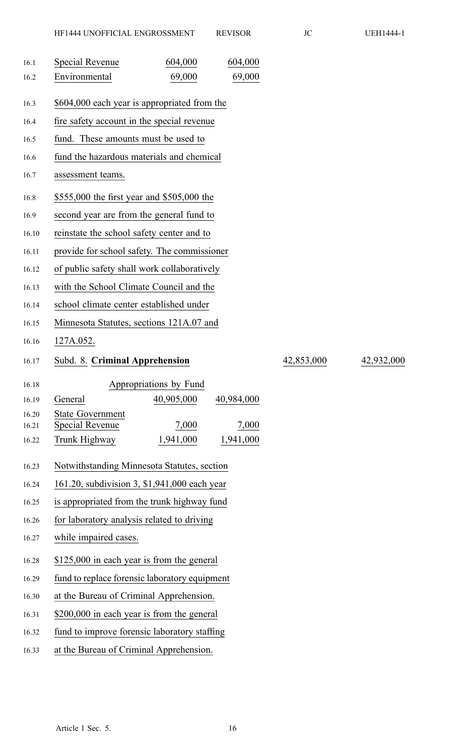| 16.1           | Special Revenue                               | 604,000                | 604,000    |            |            |
|----------------|-----------------------------------------------|------------------------|------------|------------|------------|
| 16.2           | Environmental                                 | 69,000                 | 69,000     |            |            |
| 16.3           | \$604,000 each year is appropriated from the  |                        |            |            |            |
| 16.4           | fire safety account in the special revenue    |                        |            |            |            |
| 16.5           | fund. These amounts must be used to           |                        |            |            |            |
| 16.6           | fund the hazardous materials and chemical     |                        |            |            |            |
| 16.7           | assessment teams.                             |                        |            |            |            |
| 16.8           | \$555,000 the first year and \$505,000 the    |                        |            |            |            |
| 16.9           | second year are from the general fund to      |                        |            |            |            |
| 16.10          | reinstate the school safety center and to     |                        |            |            |            |
| 16.11          | provide for school safety. The commissioner   |                        |            |            |            |
| 16.12          | of public safety shall work collaboratively   |                        |            |            |            |
| 16.13          | with the School Climate Council and the       |                        |            |            |            |
| 16.14          | school climate center established under       |                        |            |            |            |
| 16.15          | Minnesota Statutes, sections 121A.07 and      |                        |            |            |            |
| 16.16          | 127A.052.                                     |                        |            |            |            |
| 16.17          | Subd. 8. Criminal Apprehension                |                        |            | 42,853,000 | 42,932,000 |
| 16.18          |                                               | Appropriations by Fund |            |            |            |
| 16.19          | General                                       | 40,905,000             | 40,984,000 |            |            |
| 16.20<br>16.21 | <b>State Government</b><br>Special Revenue    | 7,000                  | 7,000      |            |            |
| 16.22          | Trunk Highway                                 | 1,941,000              | 1,941,000  |            |            |
|                |                                               |                        |            |            |            |
| 16.23          | Notwithstanding Minnesota Statutes, section   |                        |            |            |            |
| 16.24          | 161.20, subdivision 3, \$1,941,000 each year  |                        |            |            |            |
| 16.25          | is appropriated from the trunk highway fund   |                        |            |            |            |
| 16.26          | for laboratory analysis related to driving    |                        |            |            |            |
| 16.27          | while impaired cases.                         |                        |            |            |            |
| 16.28          |                                               |                        |            |            |            |
|                | \$125,000 in each year is from the general    |                        |            |            |            |
| 16.29          | fund to replace forensic laboratory equipment |                        |            |            |            |
| 16.30          | at the Bureau of Criminal Apprehension.       |                        |            |            |            |
| 16.31          | \$200,000 in each year is from the general    |                        |            |            |            |
| 16.32          | fund to improve forensic laboratory staffing  |                        |            |            |            |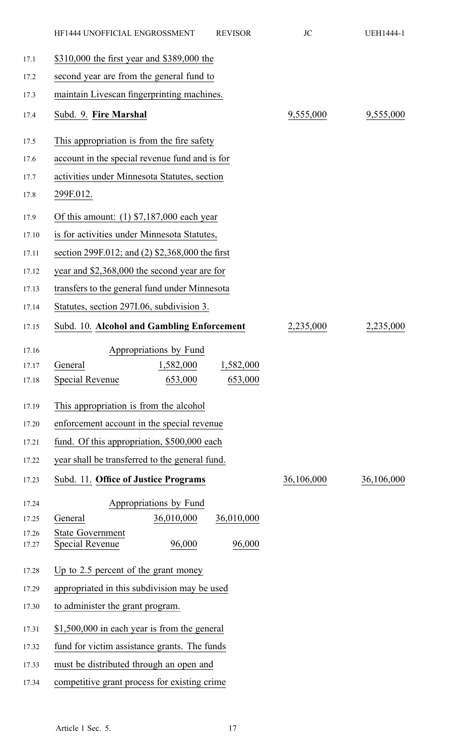|                | HF1444 UNOFFICIAL ENGROSSMENT                               | <b>REVISOR</b> | JC         | <b>UEH1444-1</b> |
|----------------|-------------------------------------------------------------|----------------|------------|------------------|
| 17.1           | \$310,000 the first year and \$389,000 the                  |                |            |                  |
| 17.2           | second year are from the general fund to                    |                |            |                  |
| 17.3           | maintain Livescan fingerprinting machines.                  |                |            |                  |
| 17.4           | Subd. 9. Fire Marshal                                       |                | 9,555,000  | 9,555,000        |
| 17.5           | This appropriation is from the fire safety                  |                |            |                  |
| 17.6           | account in the special revenue fund and is for              |                |            |                  |
| 17.7           | activities under Minnesota Statutes, section                |                |            |                  |
| 17.8           | 299F.012.                                                   |                |            |                  |
| 17.9           | Of this amount: $(1)$ \$7,187,000 each year                 |                |            |                  |
| 17.10          | is for activities under Minnesota Statutes,                 |                |            |                  |
| 17.11          | section 299F.012; and (2) \$2,368,000 the first             |                |            |                  |
| 17.12          | year and \$2,368,000 the second year are for                |                |            |                  |
| 17.13          | transfers to the general fund under Minnesota               |                |            |                  |
| 17.14          | Statutes, section 297I.06, subdivision 3.                   |                |            |                  |
| 17.15          | Subd. 10. Alcohol and Gambling Enforcement                  |                | 2,235,000  | 2,235,000        |
| 17.16          | Appropriations by Fund                                      |                |            |                  |
|                | 1,582,000 1,582,000<br>17.17 General                        |                |            |                  |
| 17.18          | 653,000<br><b>Special Revenue</b>                           | 653,000        |            |                  |
| 17.19          | This appropriation is from the alcohol                      |                |            |                  |
| 17.20          | enforcement account in the special revenue                  |                |            |                  |
| 17.21          | fund. Of this appropriation, \$500,000 each                 |                |            |                  |
| 17.22          | year shall be transferred to the general fund.              |                |            |                  |
| 17.23          | Subd. 11. Office of Justice Programs                        |                | 36,106,000 | 36,106,000       |
| 17.24          | Appropriations by Fund                                      |                |            |                  |
| 17.25          | 36,010,000<br>General                                       | 36,010,000     |            |                  |
| 17.26<br>17.27 | <b>State Government</b><br>96,000<br><b>Special Revenue</b> | 96,000         |            |                  |
| 17.28          | Up to 2.5 percent of the grant money                        |                |            |                  |
| 17.29          | appropriated in this subdivision may be used                |                |            |                  |
| 17.30          | to administer the grant program.                            |                |            |                  |
| 17.31          | \$1,500,000 in each year is from the general                |                |            |                  |
| 17.32          | fund for victim assistance grants. The funds                |                |            |                  |
| 17.33          | must be distributed through an open and                     |                |            |                  |
| 17.34          | competitive grant process for existing crime                |                |            |                  |
|                |                                                             |                |            |                  |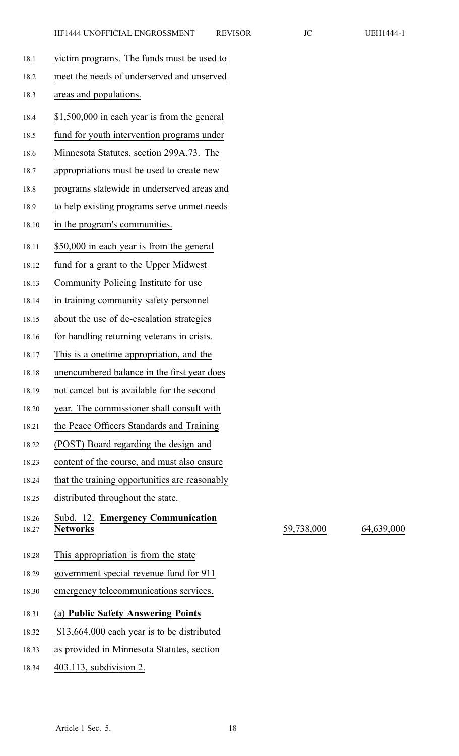18.27 **Networks** 59,738,000 64,639,000

| 18.1  | victim programs. The funds must be used to     |
|-------|------------------------------------------------|
| 18.2  | meet the needs of underserved and unserved     |
| 18.3  | areas and populations.                         |
| 18.4  | \$1,500,000 in each year is from the general   |
| 18.5  | fund for youth intervention programs under     |
| 18.6  | Minnesota Statutes, section 299A.73. The       |
| 18.7  | appropriations must be used to create new      |
| 18.8  | programs statewide in underserved areas and    |
| 18.9  | to help existing programs serve unmet needs    |
| 18.10 | in the program's communities.                  |
| 18.11 | \$50,000 in each year is from the general      |
| 18.12 | fund for a grant to the Upper Midwest          |
| 18.13 | Community Policing Institute for use           |
| 18.14 | in training community safety personnel         |
| 18.15 | about the use of de-escalation strategies      |
| 18.16 | for handling returning veterans in crisis.     |
| 18.17 | This is a onetime appropriation, and the       |
| 18.18 | unencumbered balance in the first year does    |
| 18.19 | not cancel but is available for the second     |
| 18.20 | year. The commissioner shall consult with      |
| 18.21 | the Peace Officers Standards and Training      |
| 18.22 | (POST) Board regarding the design and          |
| 18.23 | content of the course, and must also ensure    |
| 18.24 | that the training opportunities are reasonably |
| 18.25 | distributed throughout the state.              |
| 18.26 | Subd. 12. Emergency Communication              |
| 18.27 | <b>Networks</b>                                |
| 18.28 | This appropriation is from the state           |
| 18.29 | government special revenue fund for 911        |
| 18.30 | emergency telecommunications services.         |
| 18.31 | (a) Public Safety Answering Points             |
| 18.32 | \$13,664,000 each year is to be distributed    |
| 18.33 | as provided in Minnesota Statutes, section     |
| 18.34 | 403.113, subdivision 2.                        |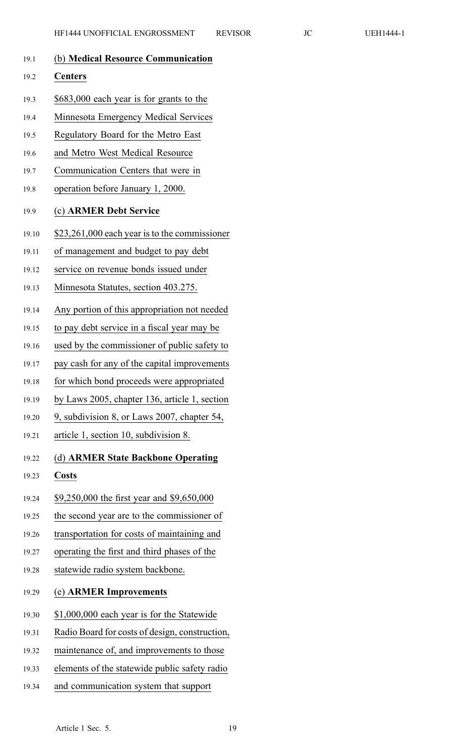|       | <b>REV</b><br>HF1444 UNOFFICIAL ENGROSSMENT   |
|-------|-----------------------------------------------|
| 19.1  | (b) Medical Resource Communication            |
| 19.2  | <b>Centers</b>                                |
| 19.3  | \$683,000 each year is for grants to the      |
| 19.4  | Minnesota Emergency Medical Services          |
| 19.5  | Regulatory Board for the Metro East           |
| 19.6  | and Metro West Medical Resource               |
| 19.7  | Communication Centers that were in            |
| 19.8  | operation before January 1, 2000.             |
| 19.9  | (c) ARMER Debt Service                        |
| 19.10 | \$23,261,000 each year is to the commissioner |
| 19.11 | of management and budget to pay debt          |
| 19.12 | service on revenue bonds issued under         |
| 19.13 | Minnesota Statutes, section 403.275.          |
| 19.14 | Any portion of this appropriation not needed  |
| 19.15 | to pay debt service in a fiscal year may be   |
| 19.16 | used by the commissioner of public safety to  |
| 19.17 | pay cash for any of the capital improvements  |
| 19.18 | for which bond proceeds were appropriated     |
| 19.19 | by Laws 2005, chapter 136, article 1, section |
| 19.20 | 9, subdivision 8, or Laws 2007, chapter 54,   |
| 19.21 | article 1, section 10, subdivision 8.         |
| 19.22 | (d) ARMER State Backbone Operating            |
| 19.23 | <b>Costs</b>                                  |
| 19.24 | \$9,250,000 the first year and \$9,650,000    |
| 19.25 | the second year are to the commissioner of    |
| 19.26 | transportation for costs of maintaining and   |
| 19.27 | operating the first and third phases of the   |
| 19.28 | statewide radio system backbone.              |
|       |                                               |

### 19.29 (e) **ARMER Improvements**

- 19.30 \$1,000,000 each year is for the Statewide
- 19.31 Radio Board for costs of design, construction,
- 19.32 maintenance of, and improvements to those
- 19.33 elements of the statewide public safety radio
- 19.34 and communication system that suppor<sup>t</sup>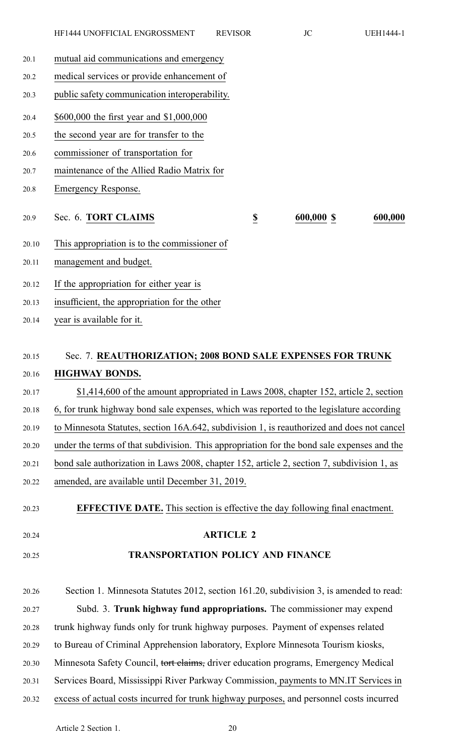|       | HF1444 UNOFFICIAL ENGROSSMENT                 | <b>REVISOR</b>          | JC         | <b>UEH1444-1</b> |
|-------|-----------------------------------------------|-------------------------|------------|------------------|
| 20.1  | mutual aid communications and emergency       |                         |            |                  |
| 20.2  | medical services or provide enhancement of    |                         |            |                  |
| 20.3  | public safety communication interoperability. |                         |            |                  |
| 20.4  | \$600,000 the first year and \$1,000,000      |                         |            |                  |
| 20.5  | the second year are for transfer to the       |                         |            |                  |
| 20.6  | commissioner of transportation for            |                         |            |                  |
| 20.7  | maintenance of the Allied Radio Matrix for    |                         |            |                  |
| 20.8  | Emergency Response.                           |                         |            |                  |
| 20.9  | Sec. 6. TORT CLAIMS                           | $\overline{\mathbf{z}}$ | 600,000 \$ | 600,000          |
| 20.10 | This appropriation is to the commissioner of  |                         |            |                  |
| 20.11 | management and budget.                        |                         |            |                  |

- 20.12 If the appropriation for either year is
- 20.13 insufficient, the appropriation for the other
- 20.14 year is available for it.

# 20.15 Sec. 7. **REAUTHORIZATION; 2008 BOND SALE EXPENSES FOR TRUNK** 20.16 **HIGHWAY BONDS.**

- 20.17 \$1,414,600 of the amount appropriated in Laws 2008, chapter 152, article 2, section
- 20.18 6, for trunk highway bond sale expenses, which was reported to the legislature according
- 20.19 to Minnesota Statutes, section 16A.642, subdivision 1, is reauthorized and does not cancel
- 20.20 under the terms of that subdivision. This appropriation for the bond sale expenses and the
- 20.21 bond sale authorization in Laws 2008, chapter 152, article 2, section 7, subdivision 1, as
- 20.22 amended, are available until December 31, 2019.
- 20.23 **EFFECTIVE DATE.** This section is effective the day following final enactment.
- 
- 20.24 **ARTICLE 2**

### 20.25 **TRANSPORTATION POLICY AND FINANCE**

20.26 Section 1. Minnesota Statutes 2012, section 161.20, subdivision 3, is amended to read: 20.27 Subd. 3. **Trunk highway fund appropriations.** The commissioner may expend 20.28 trunk highway funds only for trunk highway purposes. Payment of expenses related 20.29 to Bureau of Criminal Apprehension laboratory, Explore Minnesota Tourism kiosks, 20.30 Minnesota Safety Council, tort claims, driver education programs, Emergency Medical 20.31 Services Board, Mississippi River Parkway Commission, payments to MN.IT Services in 20.32 excess of actual costs incurred for trunk highway purposes, and personnel costs incurred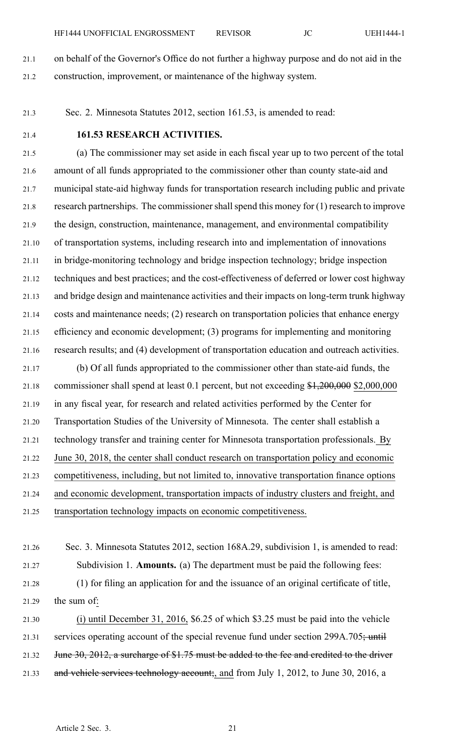- 21.1 on behalf of the Governor's Office do not further <sup>a</sup> highway purpose and do not aid in the 21.2 construction, improvement, or maintenance of the highway system.
- 21.3 Sec. 2. Minnesota Statutes 2012, section 161.53, is amended to read:
- 

#### 21.4 **161.53 RESEARCH ACTIVITIES.**

21.5 (a) The commissioner may set aside in each fiscal year up to two percen<sup>t</sup> of the total 21.6 amount of all funds appropriated to the commissioner other than county state-aid and 21.7 municipal state-aid highway funds for transportation research including public and private 21.8 research partnerships. The commissioner shall spend this money for (1) research to improve 21.9 the design, construction, maintenance, management, and environmental compatibility 21.10 of transportation systems, including research into and implementation of innovations 21.11 in bridge-monitoring technology and bridge inspection technology; bridge inspection 21.12 techniques and best practices; and the cost-effectiveness of deferred or lower cost highway 21.13 and bridge design and maintenance activities and their impacts on long-term trunk highway 21.14 costs and maintenance needs; (2) research on transportation policies that enhance energy 21.15 efficiency and economic development; (3) programs for implementing and monitoring 21.16 research results; and (4) development of transportation education and outreach activities.

21.17 (b) Of all funds appropriated to the commissioner other than state-aid funds, the 21.18 commissioner shall spend at least 0.1 percent, but not exceeding \$1,200,000 \$2,000,000 21.19 in any fiscal year, for research and related activities performed by the Center for 21.20 Transportation Studies of the University of Minnesota. The center shall establish <sup>a</sup> 21.21 technology transfer and training center for Minnesota transportation professionals. By 21.22 June 30, 2018, the center shall conduct research on transportation policy and economic 21.23 competitiveness, including, but not limited to, innovative transportation finance options 21.24 and economic development, transportation impacts of industry clusters and freight, and 21.25 transportation technology impacts on economic competitiveness.

- 21.26 Sec. 3. Minnesota Statutes 2012, section 168A.29, subdivision 1, is amended to read: 21.27 Subdivision 1. **Amounts.** (a) The department must be paid the following fees: 21.28 (1) for filing an application for and the issuance of an original certificate of title, 21.29 the sum of:
- 21.30 (i) until December 31, 2016, \$6.25 of which \$3.25 must be paid into the vehicle 21.31 services operating account of the special revenue fund under section 299A.705; until 21.32 June 30, 2012, a surcharge of \$1.75 must be added to the fee and credited to the driver 21.33 and vehicle services technology account;, and from July 1, 2012, to June 30, 2016, a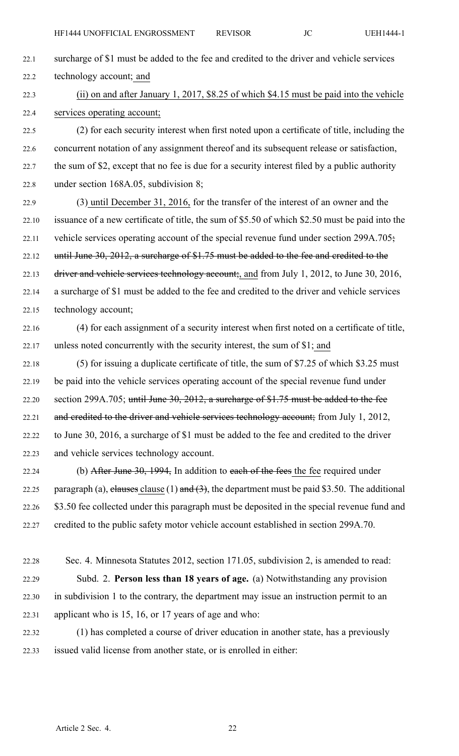- 22.1 surcharge of \$1 must be added to the fee and credited to the driver and vehicle services 22.2 technology account; and
- 22.3 (ii) on and after January 1, 2017, \$8.25 of which \$4.15 must be paid into the vehicle 22.4 services operating account;

22.5 (2) for each security interest when first noted upon <sup>a</sup> certificate of title, including the 22.6 concurrent notation of any assignment thereof and its subsequent release or satisfaction, 22.7 the sum of \$2, excep<sup>t</sup> that no fee is due for <sup>a</sup> security interest filed by <sup>a</sup> public authority 22.8 under section 168A.05, subdivision 8;

- 22.9 (3) until December 31, 2016, for the transfer of the interest of an owner and the 22.10 issuance of <sup>a</sup> new certificate of title, the sum of \$5.50 of which \$2.50 must be paid into the 22.11 vehicle services operating account of the special revenue fund under section 299A.705; 22.12 until June 30, 2012, a surcharge of \$1.75 must be added to the fee and credited to the 22.13 driver and vehicle services technology account;, and from July 1, 2012, to June 30, 2016, 22.14 <sup>a</sup> surcharge of \$1 must be added to the fee and credited to the driver and vehicle services 22.15 technology account;
- 22.16 (4) for each assignment of <sup>a</sup> security interest when first noted on <sup>a</sup> certificate of title, 22.17 unless noted concurrently with the security interest, the sum of \$1; and
- 22.18 (5) for issuing <sup>a</sup> duplicate certificate of title, the sum of \$7.25 of which \$3.25 must 22.19 be paid into the vehicle services operating account of the special revenue fund under 22.20 section 299A.705; until June 30, 2012, <sup>a</sup> surcharge of \$1.75 must be added to the fee 22.21 and credited to the driver and vehicle services technology account; from July 1, 2012, 22.22 to June 30, 2016, <sup>a</sup> surcharge of \$1 must be added to the fee and credited to the driver 22.23 and vehicle services technology account.
- 22.24 (b) After June 30, 1994, In addition to each of the fees the fee required under 22.25 paragraph (a), clauses clause (1) and  $(3)$ , the department must be paid \$3.50. The additional 22.26 \$3.50 fee collected under this paragraph must be deposited in the special revenue fund and 22.27 credited to the public safety motor vehicle account established in section 299A.70.
- 22.28 Sec. 4. Minnesota Statutes 2012, section 171.05, subdivision 2, is amended to read: 22.29 Subd. 2. **Person less than 18 years of age.** (a) Notwithstanding any provision 22.30 in subdivision 1 to the contrary, the department may issue an instruction permit to an 22.31 applicant who is 15, 16, or 17 years of age and who:
- 22.32 (1) has completed <sup>a</sup> course of driver education in another state, has <sup>a</sup> previously 22.33 issued valid license from another state, or is enrolled in either: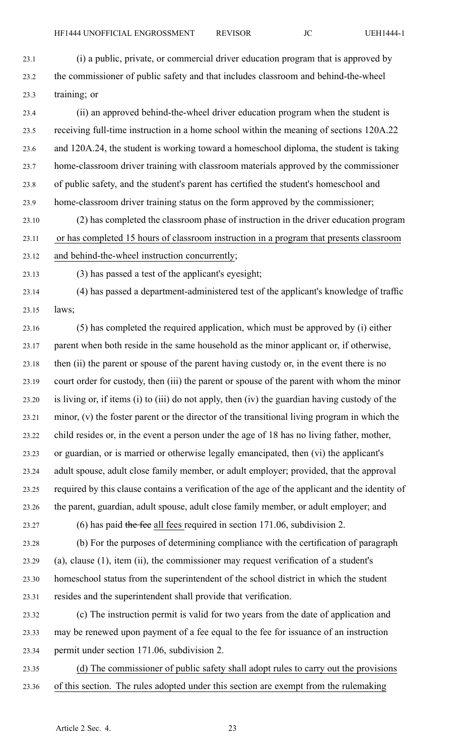23.1 (i) <sup>a</sup> public, private, or commercial driver education program that is approved by 23.2 the commissioner of public safety and that includes classroom and behind-the-wheel 23.3 training; or

23.4 (ii) an approved behind-the-wheel driver education program when the student is 23.5 receiving full-time instruction in <sup>a</sup> home school within the meaning of sections 120A.22 23.6 and 120A.24, the student is working toward <sup>a</sup> homeschool diploma, the student is taking 23.7 home-classroom driver training with classroom materials approved by the commissioner 23.8 of public safety, and the student's paren<sup>t</sup> has certified the student's homeschool and 23.9 home-classroom driver training status on the form approved by the commissioner; 23.10 (2) has completed the classroom phase of instruction in the driver education program

23.11 or has completed 15 hours of classroom instruction in <sup>a</sup> program that presents classroom 23.12 and behind-the-wheel instruction concurrently;

23.13 (3) has passed <sup>a</sup> test of the applicant's eyesight;

23.14 (4) has passed <sup>a</sup> department-administered test of the applicant's knowledge of traffic 23.15 laws;

23.16 (5) has completed the required application, which must be approved by (i) either 23.17 paren<sup>t</sup> when both reside in the same household as the minor applicant or, if otherwise, 23.18 then (ii) the paren<sup>t</sup> or spouse of the paren<sup>t</sup> having custody or, in the event there is no 23.19 court order for custody, then (iii) the paren<sup>t</sup> or spouse of the paren<sup>t</sup> with whom the minor 23.20 is living or, if items (i) to (iii) do not apply, then (iv) the guardian having custody of the 23.21 minor, (v) the foster paren<sup>t</sup> or the director of the transitional living program in which the 23.22 child resides or, in the event <sup>a</sup> person under the age of 18 has no living father, mother, 23.23 or guardian, or is married or otherwise legally emancipated, then (vi) the applicant's 23.24 adult spouse, adult close family member, or adult employer; provided, that the approval 23.25 required by this clause contains <sup>a</sup> verification of the age of the applicant and the identity of 23.26 the parent, guardian, adult spouse, adult close family member, or adult employer; and

23.27 (6) has paid the fee all fees required in section 171.06, subdivision 2.

23.28 (b) For the purposes of determining compliance with the certification of paragraph 23.29 (a), clause (1), item (ii), the commissioner may reques<sup>t</sup> verification of <sup>a</sup> student's 23.30 homeschool status from the superintendent of the school district in which the student 23.31 resides and the superintendent shall provide that verification.

23.32 (c) The instruction permit is valid for two years from the date of application and 23.33 may be renewed upon paymen<sup>t</sup> of <sup>a</sup> fee equal to the fee for issuance of an instruction 23.34 permit under section 171.06, subdivision 2.

23.35 (d) The commissioner of public safety shall adopt rules to carry out the provisions 23.36 of this section. The rules adopted under this section are exemp<sup>t</sup> from the rulemaking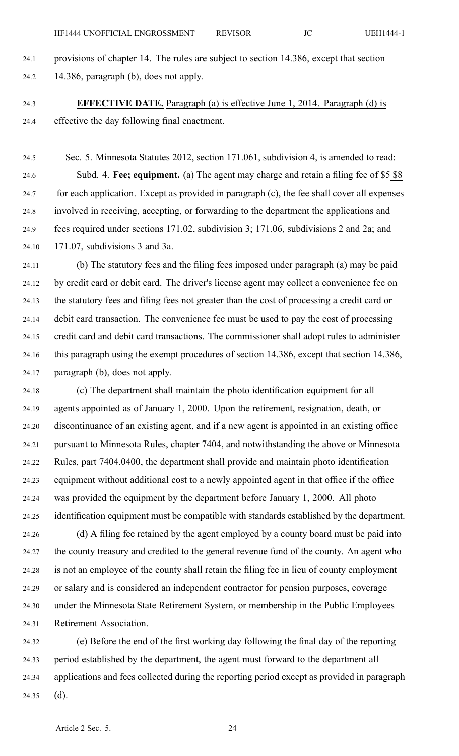24.1 provisions of chapter 14. The rules are subject to section 14.386, excep<sup>t</sup> that section

24.2 14.386, paragraph (b), does not apply.

24.3 **EFFECTIVE DATE.** Paragraph (a) is effective June 1, 2014. Paragraph (d) is 24.4 effective the day following final enactment.

24.5 Sec. 5. Minnesota Statutes 2012, section 171.061, subdivision 4, is amended to read: 24.6 Subd. 4. **Fee; equipment.** (a) The agen<sup>t</sup> may charge and retain <sup>a</sup> filing fee of \$5 \$8 24.7 for each application. Except as provided in paragraph (c), the fee shall cover all expenses 24.8 involved in receiving, accepting, or forwarding to the department the applications and 24.9 fees required under sections 171.02, subdivision 3; 171.06, subdivisions 2 and 2a; and 24.10 171.07, subdivisions 3 and 3a.

24.11 (b) The statutory fees and the filing fees imposed under paragraph (a) may be paid 24.12 by credit card or debit card. The driver's license agen<sup>t</sup> may collect <sup>a</sup> convenience fee on 24.13 the statutory fees and filing fees not greater than the cost of processing <sup>a</sup> credit card or 24.14 debit card transaction. The convenience fee must be used to pay the cost of processing 24.15 credit card and debit card transactions. The commissioner shall adopt rules to administer 24.16 this paragraph using the exemp<sup>t</sup> procedures of section 14.386, excep<sup>t</sup> that section 14.386, 24.17 paragraph (b), does not apply.

24.18 (c) The department shall maintain the photo identification equipment for all 24.19 agents appointed as of January 1, 2000. Upon the retirement, resignation, death, or 24.20 discontinuance of an existing agent, and if <sup>a</sup> new agen<sup>t</sup> is appointed in an existing office 24.21 pursuan<sup>t</sup> to Minnesota Rules, chapter 7404, and notwithstanding the above or Minnesota 24.22 Rules, par<sup>t</sup> 7404.0400, the department shall provide and maintain photo identification 24.23 equipment without additional cost to <sup>a</sup> newly appointed agen<sup>t</sup> in that office if the office 24.24 was provided the equipment by the department before January 1, 2000. All photo 24.25 identification equipment must be compatible with standards established by the department. 24.26 (d) A filing fee retained by the agen<sup>t</sup> employed by <sup>a</sup> county board must be paid into

24.27 the county treasury and credited to the general revenue fund of the county. An agen<sup>t</sup> who 24.28 is not an employee of the county shall retain the filing fee in lieu of county employment 24.29 or salary and is considered an independent contractor for pension purposes, coverage 24.30 under the Minnesota State Retirement System, or membership in the Public Employees 24.31 Retirement Association.

24.32 (e) Before the end of the first working day following the final day of the reporting 24.33 period established by the department, the agen<sup>t</sup> must forward to the department all 24.34 applications and fees collected during the reporting period excep<sup>t</sup> as provided in paragraph 24.35 (d).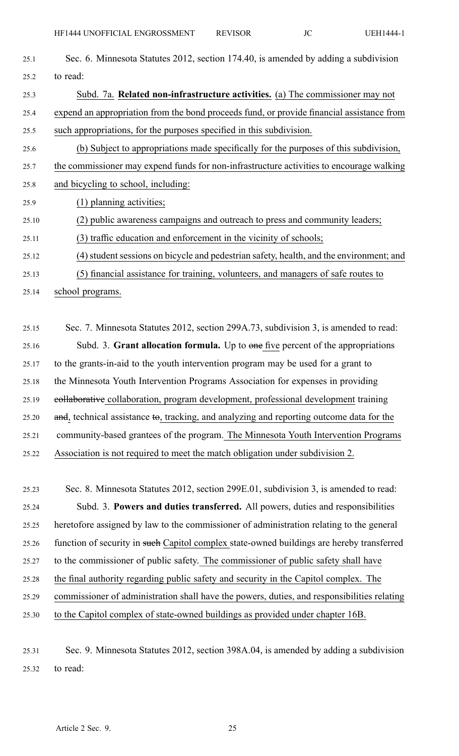| 25.1  | Sec. 6. Minnesota Statutes 2012, section 174.40, is amended by adding a subdivision       |
|-------|-------------------------------------------------------------------------------------------|
| 25.2  | to read:                                                                                  |
| 25.3  | Subd. 7a. Related non-infrastructure activities. (a) The commissioner may not             |
| 25.4  | expend an appropriation from the bond proceeds fund, or provide financial assistance from |
| 25.5  | such appropriations, for the purposes specified in this subdivision.                      |
| 25.6  | (b) Subject to appropriations made specifically for the purposes of this subdivision,     |
| 25.7  | the commissioner may expend funds for non-infrastructure activities to encourage walking  |
| 25.8  | and bicycling to school, including:                                                       |
| 25.9  | (1) planning activities;                                                                  |
| 25.10 | (2) public awareness campaigns and outreach to press and community leaders;               |
|       |                                                                                           |

- 25.11 (3) traffic education and enforcement in the vicinity of schools;
- 25.12 (4) student sessions on bicycle and pedestrian safety, health, and the environment; and
- 25.13 (5) financial assistance for training, volunteers, and managers of safe routes to
- 25.14 school programs.

25.15 Sec. 7. Minnesota Statutes 2012, section 299A.73, subdivision 3, is amended to read: 25.16 Subd. 3. **Grant allocation formula.** Up to one five percen<sup>t</sup> of the appropriations 25.17 to the grants-in-aid to the youth intervention program may be used for <sup>a</sup> gran<sup>t</sup> to 25.18 the Minnesota Youth Intervention Programs Association for expenses in providing 25.19 collaborative collaboration, program development, professional development training 25.20 and, technical assistance to, tracking, and analyzing and reporting outcome data for the 25.21 community-based grantees of the program. The Minnesota Youth Intervention Programs 25.22 Association is not required to meet the match obligation under subdivision 2.

25.23 Sec. 8. Minnesota Statutes 2012, section 299E.01, subdivision 3, is amended to read: 25.24 Subd. 3. **Powers and duties transferred.** All powers, duties and responsibilities 25.25 heretofore assigned by law to the commissioner of administration relating to the general 25.26 function of security in such Capitol complex state-owned buildings are hereby transferred 25.27 to the commissioner of public safety. The commissioner of public safety shall have 25.28 the final authority regarding public safety and security in the Capitol complex. The 25.29 commissioner of administration shall have the powers, duties, and responsibilities relating 25.30 to the Capitol complex of state-owned buildings as provided under chapter 16B.

25.31 Sec. 9. Minnesota Statutes 2012, section 398A.04, is amended by adding <sup>a</sup> subdivision 25.32 to read: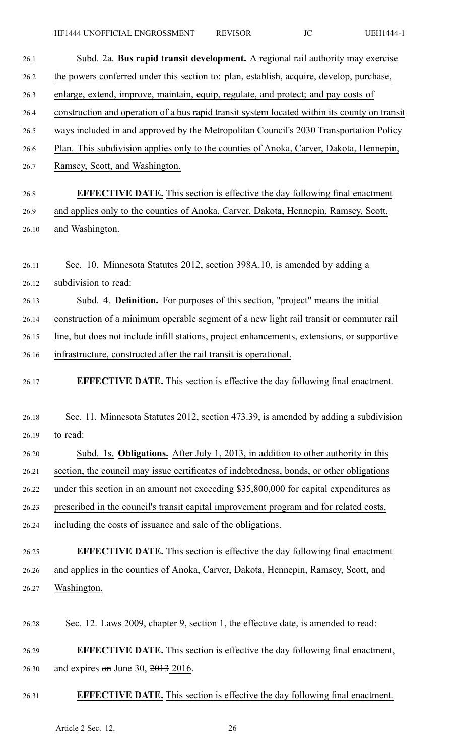| 26.1  | Subd. 2a. Bus rapid transit development. A regional rail authority may exercise               |
|-------|-----------------------------------------------------------------------------------------------|
| 26.2  | the powers conferred under this section to: plan, establish, acquire, develop, purchase,      |
| 26.3  | enlarge, extend, improve, maintain, equip, regulate, and protect; and pay costs of            |
| 26.4  | construction and operation of a bus rapid transit system located within its county on transit |
| 26.5  | ways included in and approved by the Metropolitan Council's 2030 Transportation Policy        |
| 26.6  | Plan. This subdivision applies only to the counties of Anoka, Carver, Dakota, Hennepin,       |
| 26.7  | Ramsey, Scott, and Washington.                                                                |
| 26.8  | <b>EFFECTIVE DATE.</b> This section is effective the day following final enactment            |
| 26.9  | and applies only to the counties of Anoka, Carver, Dakota, Hennepin, Ramsey, Scott,           |
| 26.10 | and Washington.                                                                               |
| 26.11 | Sec. 10. Minnesota Statutes 2012, section 398A.10, is amended by adding a                     |
| 26.12 | subdivision to read:                                                                          |
| 26.13 | Subd. 4. <b>Definition.</b> For purposes of this section, "project" means the initial         |
| 26.14 | construction of a minimum operable segment of a new light rail transit or commuter rail       |
| 26.15 | line, but does not include infill stations, project enhancements, extensions, or supportive   |
| 26.16 | infrastructure, constructed after the rail transit is operational.                            |
| 26.17 | <b>EFFECTIVE DATE.</b> This section is effective the day following final enactment.           |
| 26.18 | Sec. 11. Minnesota Statutes 2012, section 473.39, is amended by adding a subdivision          |
| 26.19 | to read:                                                                                      |
| 26.20 | Subd. 1s. <b>Obligations.</b> After July 1, 2013, in addition to other authority in this      |
| 26.21 | section, the council may issue certificates of indebtedness, bonds, or other obligations      |
| 26.22 | under this section in an amount not exceeding \$35,800,000 for capital expenditures as        |
| 26.23 | prescribed in the council's transit capital improvement program and for related costs,        |
| 26.24 | including the costs of issuance and sale of the obligations.                                  |
| 26.25 | <b>EFFECTIVE DATE.</b> This section is effective the day following final enactment            |
| 26.26 | and applies in the counties of Anoka, Carver, Dakota, Hennepin, Ramsey, Scott, and            |
| 26.27 | Washington.                                                                                   |
| 26.28 | Sec. 12. Laws 2009, chapter 9, section 1, the effective date, is amended to read:             |
| 26.29 | <b>EFFECTIVE DATE.</b> This section is effective the day following final enactment,           |
| 26.30 | and expires $\theta$ m June 30, 2013 2016.                                                    |
|       |                                                                                               |

# 26.31 **EFFECTIVE DATE.** This section is effective the day following final enactment.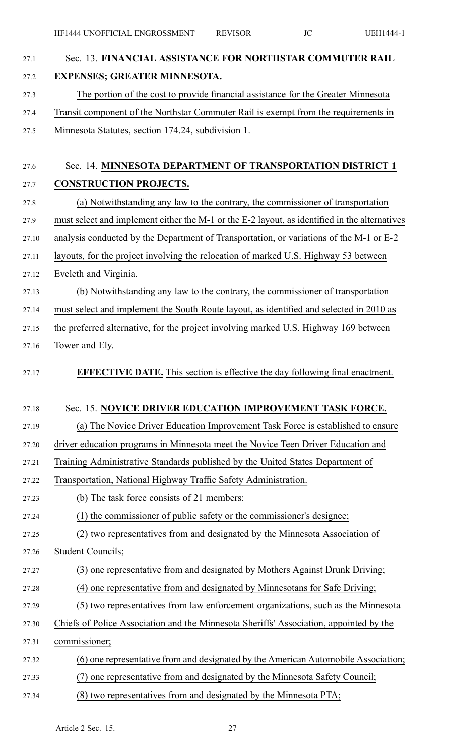| 27.1  | Sec. 13. FINANCIAL ASSISTANCE FOR NORTHSTAR COMMUTER RAIL                                     |
|-------|-----------------------------------------------------------------------------------------------|
| 27.2  | <b>EXPENSES; GREATER MINNESOTA.</b>                                                           |
| 27.3  | The portion of the cost to provide financial assistance for the Greater Minnesota             |
| 27.4  | Transit component of the Northstar Commuter Rail is exempt from the requirements in           |
| 27.5  | Minnesota Statutes, section 174.24, subdivision 1.                                            |
| 27.6  | Sec. 14. MINNESOTA DEPARTMENT OF TRANSPORTATION DISTRICT 1                                    |
| 27.7  | <b>CONSTRUCTION PROJECTS.</b>                                                                 |
| 27.8  | (a) Notwithstanding any law to the contrary, the commissioner of transportation               |
| 27.9  | must select and implement either the M-1 or the E-2 layout, as identified in the alternatives |
| 27.10 | analysis conducted by the Department of Transportation, or variations of the M-1 or E-2       |
| 27.11 | layouts, for the project involving the relocation of marked U.S. Highway 53 between           |
| 27.12 | Eveleth and Virginia.                                                                         |
| 27.13 | (b) Notwithstanding any law to the contrary, the commissioner of transportation               |
| 27.14 | must select and implement the South Route layout, as identified and selected in 2010 as       |
| 27.15 | the preferred alternative, for the project involving marked U.S. Highway 169 between          |
| 27.16 | Tower and Ely.                                                                                |
| 27.17 | <b>EFFECTIVE DATE.</b> This section is effective the day following final enactment.           |
| 27.18 | Sec. 15. NOVICE DRIVER EDUCATION IMPROVEMENT TASK FORCE.                                      |
| 27.19 | (a) The Novice Driver Education Improvement Task Force is established to ensure               |
| 27.20 | driver education programs in Minnesota meet the Novice Teen Driver Education and              |
| 27.21 | Training Administrative Standards published by the United States Department of                |
| 27.22 | Transportation, National Highway Traffic Safety Administration.                               |
| 27.23 | (b) The task force consists of 21 members:                                                    |
| 27.24 | (1) the commissioner of public safety or the commissioner's designee;                         |
| 27.25 | (2) two representatives from and designated by the Minnesota Association of                   |
| 27.26 | <b>Student Councils;</b>                                                                      |
| 27.27 | (3) one representative from and designated by Mothers Against Drunk Driving;                  |
| 27.28 | (4) one representative from and designated by Minnesotans for Safe Driving;                   |
| 27.29 | (5) two representatives from law enforcement organizations, such as the Minnesota             |
| 27.30 | Chiefs of Police Association and the Minnesota Sheriffs' Association, appointed by the        |
| 27.31 | commissioner;                                                                                 |
| 27.32 | (6) one representative from and designated by the American Automobile Association;            |
| 27.33 | one representative from and designated by the Minnesota Safety Council;<br>(7)                |
| 27.34 | (8) two representatives from and designated by the Minnesota PTA;                             |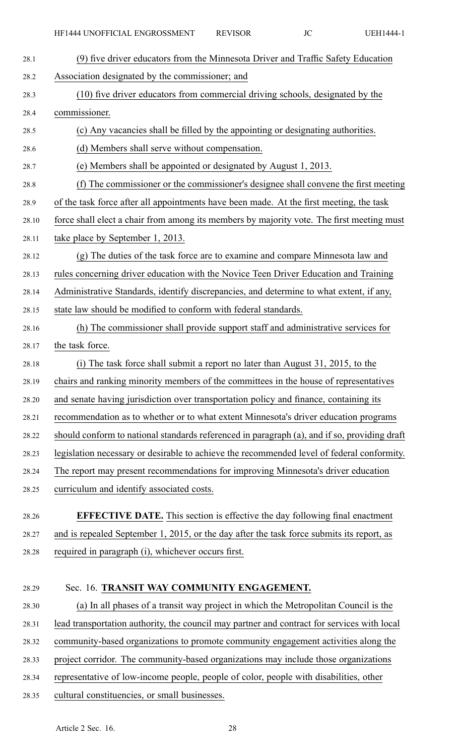| 28.1  | (9) five driver educators from the Minnesota Driver and Traffic Safety Education             |
|-------|----------------------------------------------------------------------------------------------|
| 28.2  | Association designated by the commissioner; and                                              |
| 28.3  | (10) five driver educators from commercial driving schools, designated by the                |
| 28.4  | commissioner.                                                                                |
| 28.5  | (c) Any vacancies shall be filled by the appointing or designating authorities.              |
| 28.6  | (d) Members shall serve without compensation.                                                |
| 28.7  | (e) Members shall be appointed or designated by August 1, 2013.                              |
| 28.8  | (f) The commissioner or the commissioner's designee shall convene the first meeting          |
| 28.9  | of the task force after all appointments have been made. At the first meeting, the task      |
| 28.10 | force shall elect a chair from among its members by majority vote. The first meeting must    |
| 28.11 | take place by September 1, 2013.                                                             |
| 28.12 | (g) The duties of the task force are to examine and compare Minnesota law and                |
| 28.13 | rules concerning driver education with the Novice Teen Driver Education and Training         |
| 28.14 | Administrative Standards, identify discrepancies, and determine to what extent, if any,      |
| 28.15 | state law should be modified to conform with federal standards.                              |
| 28.16 | (h) The commissioner shall provide support staff and administrative services for             |
| 28.17 | the task force.                                                                              |
| 28.18 | (i) The task force shall submit a report no later than August 31, 2015, to the               |
| 28.19 | chairs and ranking minority members of the committees in the house of representatives        |
| 28.20 | and senate having jurisdiction over transportation policy and finance, containing its        |
| 28.21 | recommendation as to whether or to what extent Minnesota's driver education programs         |
| 28.22 | should conform to national standards referenced in paragraph (a), and if so, providing draft |
| 28.23 | legislation necessary or desirable to achieve the recommended level of federal conformity.   |
| 28.24 | The report may present recommendations for improving Minnesota's driver education            |
| 28.25 | curriculum and identify associated costs.                                                    |
| 28.26 | <b>EFFECTIVE DATE.</b> This section is effective the day following final enactment           |
| 28.27 | and is repealed September 1, 2015, or the day after the task force submits its report, as    |
| 28.28 | required in paragraph (i), whichever occurs first.                                           |
|       |                                                                                              |
| 28.29 | Sec. 16. TRANSIT WAY COMMUNITY ENGAGEMENT.                                                   |
| 28.30 | (a) In all phases of a transit way project in which the Metropolitan Council is the          |
| 28.31 | lead transportation authority, the council may partner and contract for services with local  |

28.32 community-based organizations to promote community engagemen<sup>t</sup> activities along the

- 28.33 project corridor. The community-based organizations may include those organizations
- 28.34 representative of low-income people, people of color, people with disabilities, other
- 28.35 cultural constituencies, or small businesses.